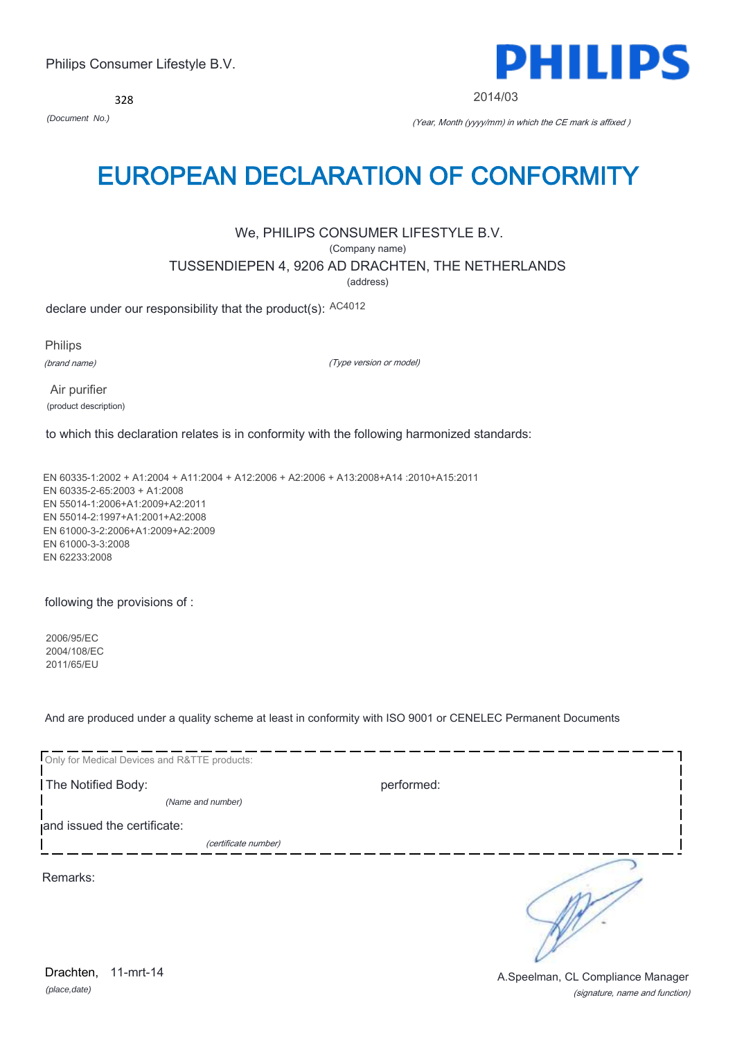328



2014/03

*(Document No.)* (Year, Month (yyyy/mm) in which the CE mark is affixed )

## EUROPEAN DECLARATION OF CONFORMITY

## We, PHILIPS CONSUMER LIFESTYLE B.V.

(Company name)

TUSSENDIEPEN 4, 9206 AD DRACHTEN, THE NETHERLANDS

(address)

declare under our responsibility that the product(s): AC4012

Philips

(brand name)

(Type version or model)

 Air purifier (product description)

to which this declaration relates is in conformity with the following harmonized standards:

EN 60335-1:2002 + A1:2004 + A11:2004 + A12:2006 + A2:2006 + A13:2008+A14 :2010+A15:2011 EN 60335-2-65:2003 + A1:2008 EN 55014-1:2006+A1:2009+A2:2011 EN 55014-2:1997+A1:2001+A2:2008 EN 61000-3-2:2006+A1:2009+A2:2009 EN 61000-3-3:2008 EN 62233:2008

following the provisions of :

2006/95/EC 2004/108/EC 2011/65/EU

And are produced under a quality scheme at least in conformity with ISO 9001 or CENELEC Permanent Documents

| Only for Medical Devices and R&TTE products: |            |
|----------------------------------------------|------------|
| The Notified Body:                           | performed: |
| (Name and number)                            |            |
| and issued the certificate:                  |            |
| (certificate number)                         |            |
| Remarks:                                     |            |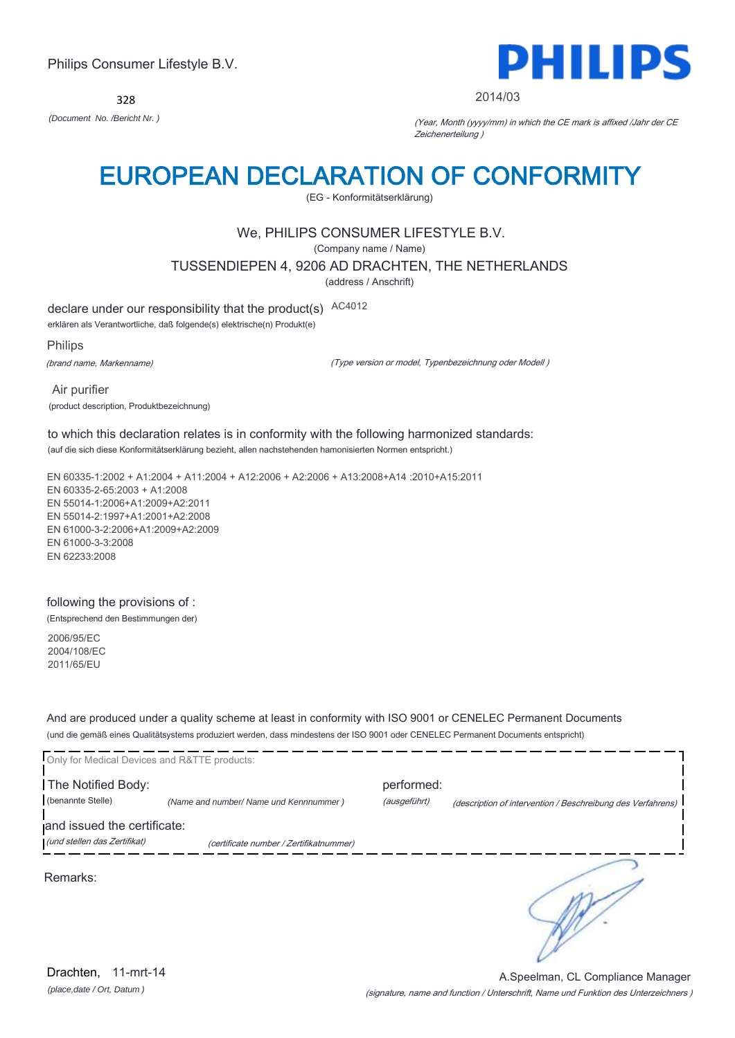328



#### 2014/03

*(Document No. /Bericht Nr. )* (Year, Month (yyyy/mm) in which the CE mark is affixed /Jahr der CE Zeichenerteilung )

# EUROPEAN DECLARATION OF CONFORMITY

(EG - Konformitätserklärung)

## We, PHILIPS CONSUMER LIFESTYLE B.V.

(Company name / Name)

TUSSENDIEPEN 4, 9206 AD DRACHTEN, THE NETHERLANDS

(address / Anschrift)

declare under our responsibility that the product(s) AC4012

erklären als Verantwortliche, daß folgende(s) elektrische(n) Produkt(e)

Philips

(brand name, Markenname)

(Type version or model, Typenbezeichnung oder Modell )

 Air purifier (product description, Produktbezeichnung)

## to which this declaration relates is in conformity with the following harmonized standards:

(auf die sich diese Konformitätserklärung bezieht, allen nachstehenden hamonisierten Normen entspricht.)

EN 60335-1:2002 + A1:2004 + A11:2004 + A12:2006 + A2:2006 + A13:2008+A14 :2010+A15:2011 EN 60335-2-65:2003 + A1:2008 EN 55014-1:2006+A1:2009+A2:2011 EN 55014-2:1997+A1:2001+A2:2008 EN 61000-3-2:2006+A1:2009+A2:2009 EN 61000-3-3:2008 EN 62233:2008

## following the provisions of :

(Entsprechend den Bestimmungen der)

2006/95/EC 2004/108/EC 2011/65/EU

And are produced under a quality scheme at least in conformity with ISO 9001 or CENELEC Permanent Documents (und die gemäß eines Qualitätsystems produziert werden, dass mindestens der ISO 9001 oder CENELEC Permanent Documents entspricht)

| Only for Medical Devices and R&TTE products: |                                         |                            |                                                             |
|----------------------------------------------|-----------------------------------------|----------------------------|-------------------------------------------------------------|
| The Notified Body:<br>(benannte Stelle)      | (Name and number/ Name und Kennnummer)  | performed:<br>(ausgeführt) | (description of intervention / Beschreibung des Verfahrens) |
| and issued the certificate:                  |                                         |                            |                                                             |
| (und stellen das Zertifikat)                 | (certificate number / Zertifikatnummer) |                            |                                                             |
| Remarks:                                     |                                         |                            |                                                             |

*(place,date / Ort, Datum )* Drachten, 11-mrt-14

(signature, name and function / Unterschrift, Name und Funktion des Unterzeichners ) A.Speelman, CL Compliance Manager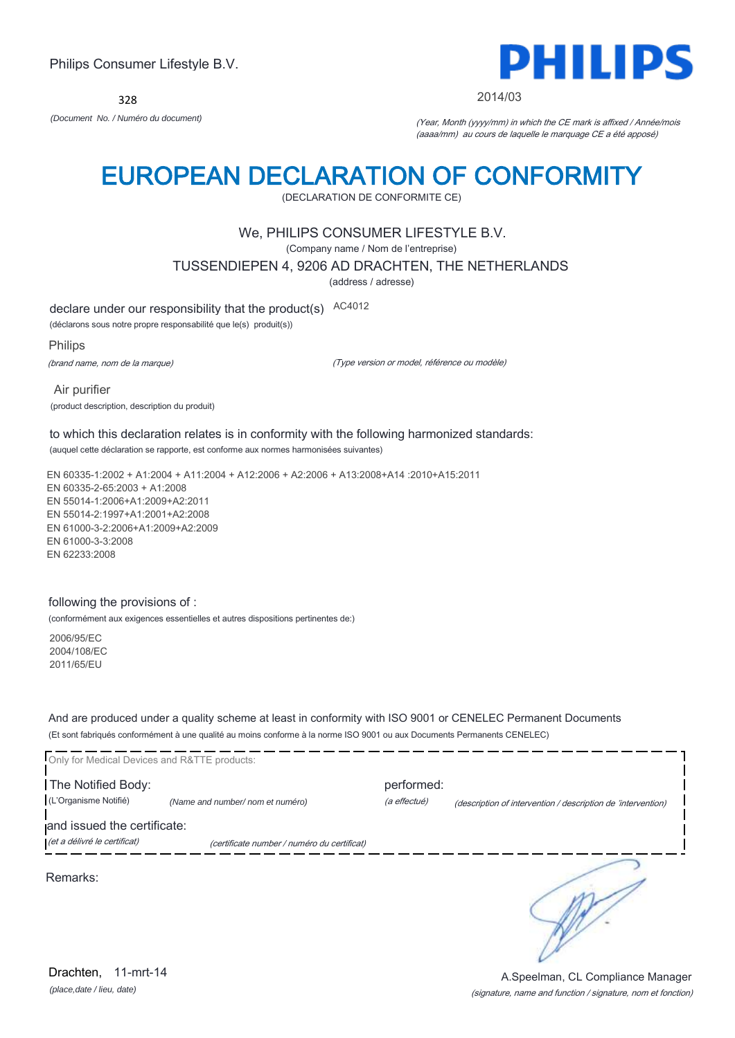328



2014/03

*(Document No. / Numéro du document)* (Year, Month (yyyy/mm) in which the CE mark is affixed / Année/mois (aaaa/mm) au cours de laquelle le marquage CE a été apposé)

## EUROPEAN DECLARATION OF CONFORMITY

(DECLARATION DE CONFORMITE CE)

## We, PHILIPS CONSUMER LIFESTYLE B.V.

(Company name / Nom de l'entreprise)

TUSSENDIEPEN 4, 9206 AD DRACHTEN, THE NETHERLANDS

(address / adresse)

declare under our responsibility that the product(s) AC4012

(déclarons sous notre propre responsabilité que le(s) produit(s))

Philips

(brand name, nom de la marque)

(Type version or model, référence ou modèle)

 Air purifier (product description, description du produit)

to which this declaration relates is in conformity with the following harmonized standards: (auquel cette déclaration se rapporte, est conforme aux normes harmonisées suivantes)

EN 60335-1:2002 + A1:2004 + A11:2004 + A12:2006 + A2:2006 + A13:2008+A14 :2010+A15:2011 EN 60335-2-65:2003 + A1:2008 EN 55014-1:2006+A1:2009+A2:2011 EN 55014-2:1997+A1:2001+A2:2008 EN 61000-3-2:2006+A1:2009+A2:2009 EN 61000-3-3:2008 EN 62233:2008

### following the provisions of :

(conformément aux exigences essentielles et autres dispositions pertinentes de:)

2006/95/EC 2004/108/EC 2011/65/EU

And are produced under a quality scheme at least in conformity with ISO 9001 or CENELEC Permanent Documents (Et sont fabriqués conformément à une qualité au moins conforme à la norme ISO 9001 ou aux Documents Permanents CENELEC)

| Only for Medical Devices and R&TTE products:                |                                             |                            |                                                              |
|-------------------------------------------------------------|---------------------------------------------|----------------------------|--------------------------------------------------------------|
| The Notified Body:<br>(L'Organisme Notifié)                 | (Name and number/ nom et numéro)            | performed:<br>(a effectué) | (description of intervention / description de 'intervention) |
| and issued the certificate:<br>(et a délivré le certificat) | (certificate number / numéro du certificat) |                            |                                                              |
| Remarks:                                                    |                                             |                            |                                                              |

*(place,date / lieu, date)* Drachten. 11-mrt-14

#### (signature, name and function / signature, nom et fonction) A.Speelman, CL Compliance Manager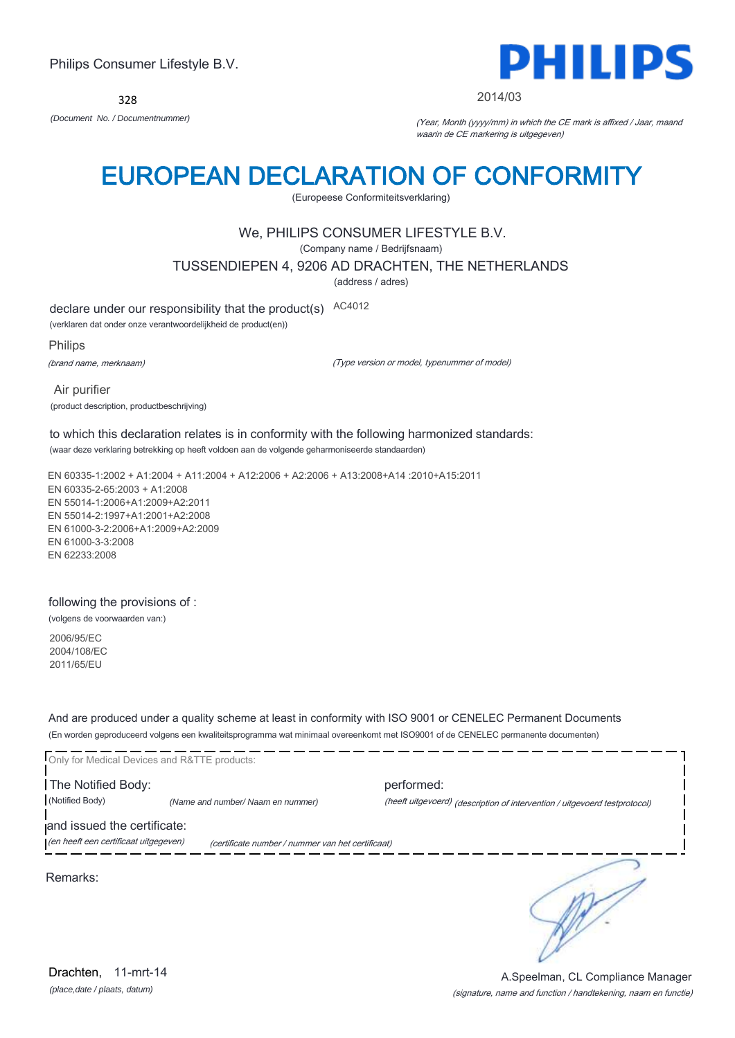328



#### 2014/03

*(Document No. / Documentnummer)* (Year, Month (yyyy/mm) in which the CE mark is affixed / Jaar, maand waarin de CE markering is uitgegeven)

## EUROPEAN DECLARATION OF CONFORMITY

(Europeese Conformiteitsverklaring)

## We, PHILIPS CONSUMER LIFESTYLE B.V.

(Company name / Bedrijfsnaam)

#### TUSSENDIEPEN 4, 9206 AD DRACHTEN, THE NETHERLANDS

(address / adres)

declare under our responsibility that the product(s) AC4012

(verklaren dat onder onze verantwoordelijkheid de product(en))

Philips

(brand name, merknaam)

(Type version or model, typenummer of model)

 Air purifier (product description, productbeschrijving)

to which this declaration relates is in conformity with the following harmonized standards: (waar deze verklaring betrekking op heeft voldoen aan de volgende geharmoniseerde standaarden)

EN 60335-1:2002 + A1:2004 + A11:2004 + A12:2006 + A2:2006 + A13:2008+A14 :2010+A15:2011 EN 60335-2-65:2003 + A1:2008 EN 55014-1:2006+A1:2009+A2:2011 EN 55014-2:1997+A1:2001+A2:2008 EN 61000-3-2:2006+A1:2009+A2:2009 EN 61000-3-3:2008 EN 62233:2008

### following the provisions of :

(volgens de voorwaarden van:)

2006/95/EC 2004/108/EC 2011/65/EU

And are produced under a quality scheme at least in conformity with ISO 9001 or CENELEC Permanent Documents (En worden geproduceerd volgens een kwaliteitsprogramma wat minimaal overeenkomt met ISO9001 of de CENELEC permanente documenten)

Only for Medical Devices and R&TTE products: The Notified Body: performed: (Notified Body) *(Name and number/ Naam en nummer)* (heeft uitgevoerd) (description of intervention / uitgevoerd testprotocol) and issued the certificate: (en heeft een certificaat uitgegeven) (certificate number / nummer van het certificaat) ∍ Remarks:

(signature, name and function / handtekening, naam en functie) A.Speelman, CL Compliance Manager

*(place,date / plaats, datum)* Drachten, 11-mrt-14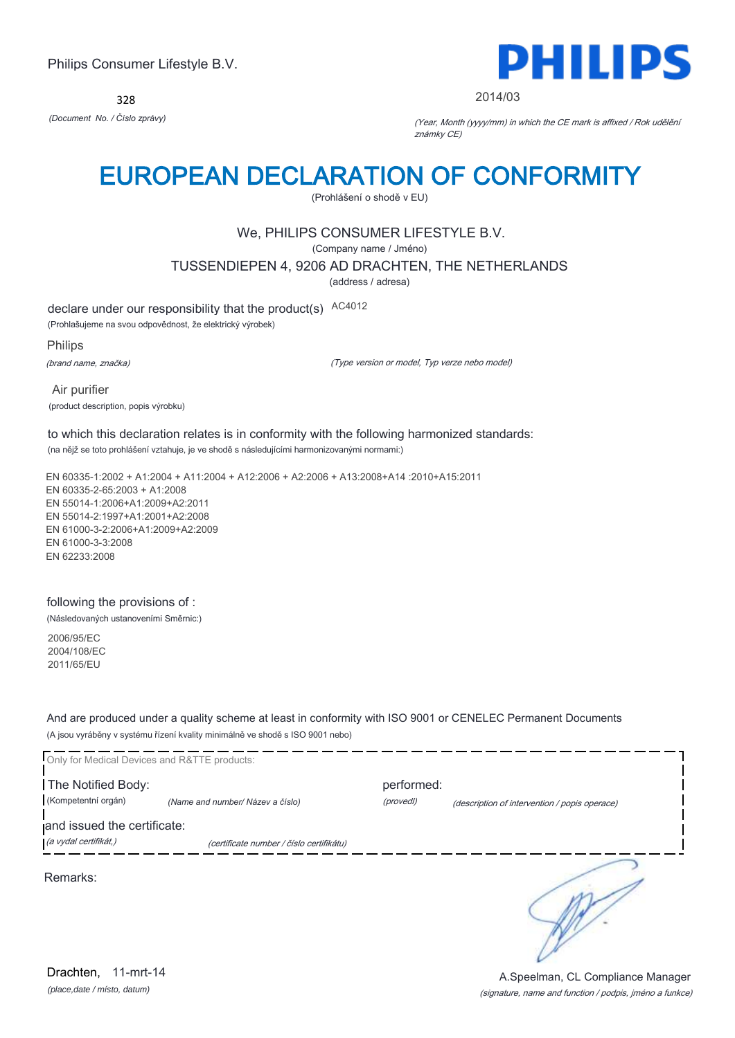328



#### 2014/03

*(Document No. / Číslo zprávy)* (Year, Month (yyyy/mm) in which the CE mark is affixed / Rok udělění známky CE)

# EUROPEAN DECLARATION OF CONFORMITY

(Prohlášení o shodě v EU)

## We, PHILIPS CONSUMER LIFESTYLE B.V.

(Company name / Jméno)

TUSSENDIEPEN 4, 9206 AD DRACHTEN, THE NETHERLANDS

(address / adresa)

declare under our responsibility that the product(s) AC4012

(Prohlašujeme na svou odpovědnost, že elektrický výrobek)

Philips

(brand name, značka)

(Type version or model, Typ verze nebo model)

 Air purifier (product description, popis výrobku)

### to which this declaration relates is in conformity with the following harmonized standards: (na nějž se toto prohlášení vztahuje, je ve shodě s následujícími harmonizovanými normami:)

EN 60335-1:2002 + A1:2004 + A11:2004 + A12:2006 + A2:2006 + A13:2008+A14 :2010+A15:2011 EN 60335-2-65:2003 + A1:2008 EN 55014-1:2006+A1:2009+A2:2011 EN 55014-2:1997+A1:2001+A2:2008 EN 61000-3-2:2006+A1:2009+A2:2009 EN 61000-3-3:2008 EN 62233:2008

#### following the provisions of :

(Následovaných ustanoveními Směrnic:)

2006/95/EC 2004/108/EC 2011/65/EU

And are produced under a quality scheme at least in conformity with ISO 9001 or CENELEC Permanent Documents (A jsou vyráběny v systému řízení kvality minimálně ve shodě s ISO 9001 nebo)

| Only for Medical Devices and R&TTE products: |                                          |            |                                               |
|----------------------------------------------|------------------------------------------|------------|-----------------------------------------------|
| The Notified Body:                           |                                          | performed: |                                               |
| (Kompetentní orgán)                          | (Name and number/ Název a číslo)         | (provedl)  | (description of intervention / popis operace) |
| and issued the certificate:                  |                                          |            |                                               |
| (a vydal certifikát,)                        | (certificate number / číslo certifikátu) |            |                                               |
| Remarks:                                     |                                          |            |                                               |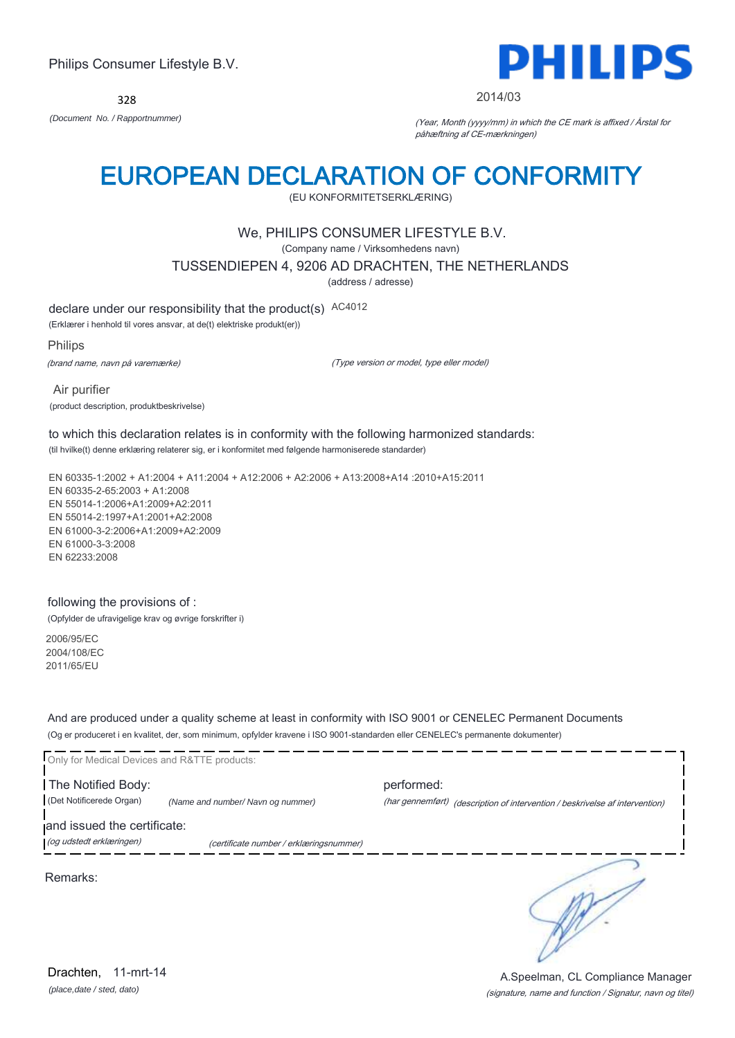328



2014/03

*(Document No. / Rapportnummer)* (Year, Month (yyyy/mm) in which the CE mark is affixed / Årstal for påhæftning af CE-mærkningen)

## EUROPEAN DECLARATION OF CONFORMITY

(EU KONFORMITETSERKLÆRING)

## We, PHILIPS CONSUMER LIFESTYLE B.V.

(Company name / Virksomhedens navn)

TUSSENDIEPEN 4, 9206 AD DRACHTEN, THE NETHERLANDS

(address / adresse)

declare under our responsibility that the product(s) AC4012

(Erklærer i henhold til vores ansvar, at de(t) elektriske produkt(er))

Philips

(brand name, navn på varemærke)

(Type version or model, type eller model)

 Air purifier (product description, produktbeskrivelse)

to which this declaration relates is in conformity with the following harmonized standards: (til hvilke(t) denne erklæring relaterer sig, er i konformitet med følgende harmoniserede standarder)

EN 60335-1:2002 + A1:2004 + A11:2004 + A12:2006 + A2:2006 + A13:2008+A14 :2010+A15:2011 EN 60335-2-65:2003 + A1:2008 EN 55014-1:2006+A1:2009+A2:2011 EN 55014-2:1997+A1:2001+A2:2008 EN 61000-3-2:2006+A1:2009+A2:2009 EN 61000-3-3:2008 EN 62233:2008

### following the provisions of :

(Opfylder de ufravigelige krav og øvrige forskrifter i)

2006/95/EC 2004/108/EC 2011/65/EU

And are produced under a quality scheme at least in conformity with ISO 9001 or CENELEC Permanent Documents (Og er produceret i en kvalitet, der, som minimum, opfylder kravene i ISO 9001-standarden eller CENELEC's permanente dokumenter)

| Only for Medical Devices and R&TTE products:   |                                         |                                                                                            |  |
|------------------------------------------------|-----------------------------------------|--------------------------------------------------------------------------------------------|--|
| The Notified Body:<br>(Det Notificerede Organ) | (Name and number/Navn og nummer)        | performed:<br>(har gennemført) (description of intervention / beskrivelse af intervention) |  |
| and issued the certificate:                    |                                         |                                                                                            |  |
| (og udstedt erklæringen)                       | (certificate number / erklæringsnummer) |                                                                                            |  |
|                                                |                                         |                                                                                            |  |

Remarks:

*(place,date / sted, dato)* Drachten, 11-mrt-14

#### (signature, name and function / Signatur, navn og titel) A.Speelman, CL Compliance Manager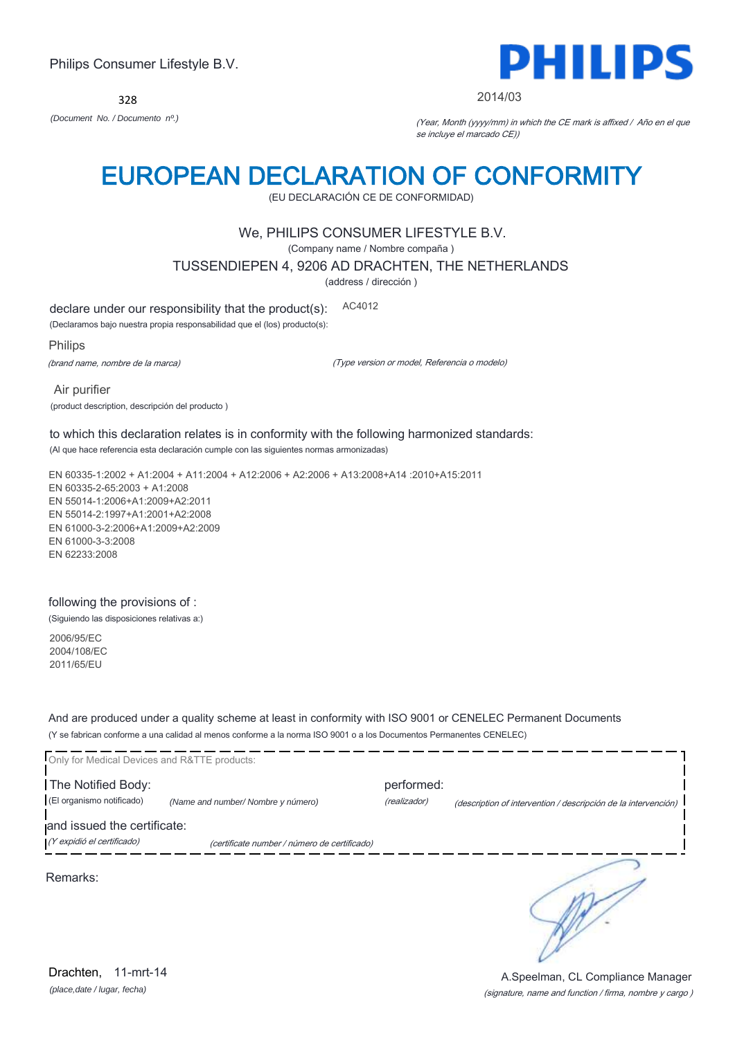328



#### 2014/03

*(Document No. / Documento nº.)* (Year, Month (yyyy/mm) in which the CE mark is affixed / Año en el que se incluye el marcado CE))

## EUROPEAN DECLARATION OF CONFORMITY

(EU DECLARACIÓN CE DE CONFORMIDAD)

## We, PHILIPS CONSUMER LIFESTYLE B.V.

(Company name / Nombre compaña )

TUSSENDIEPEN 4, 9206 AD DRACHTEN, THE NETHERLANDS

(address / dirección )

declare under our responsibility that the product(s): AC4012

(Declaramos bajo nuestra propia responsabilidad que el (los) producto(s):

Philips

(brand name, nombre de la marca)

(Type version or model, Referencia o modelo)

 Air purifier (product description, descripción del producto )

to which this declaration relates is in conformity with the following harmonized standards: (Al que hace referencia esta declaración cumple con las siguientes normas armonizadas)

EN 60335-1:2002 + A1:2004 + A11:2004 + A12:2006 + A2:2006 + A13:2008+A14 :2010+A15:2011 EN 60335-2-65:2003 + A1:2008 EN 55014-1:2006+A1:2009+A2:2011 EN 55014-2:1997+A1:2001+A2:2008 EN 61000-3-2:2006+A1:2009+A2:2009 EN 61000-3-3:2008 EN 62233:2008

### following the provisions of :

(Siguiendo las disposiciones relativas a:)

2006/95/EC 2004/108/EC 2011/65/EU

And are produced under a quality scheme at least in conformity with ISO 9001 or CENELEC Permanent Documents (Y se fabrican conforme a una calidad al menos conforme a la norma ISO 9001 o a los Documentos Permanentes CENELEC)

| Only for Medical Devices and R&TTE products:    |                                              |                            |                                                                |
|-------------------------------------------------|----------------------------------------------|----------------------------|----------------------------------------------------------------|
| The Notified Body:<br>(El organismo notificado) | (Name and number/ Nombre y número)           | performed:<br>(realizador) | (description of intervention / descripción de la intervención) |
| and issued the certificate:                     |                                              |                            |                                                                |
| (Y expidió el certificado)                      | (certificate number / número de certificado) |                            |                                                                |
| Remarks:                                        |                                              |                            |                                                                |

*(place,date / lugar, fecha)* Drachten, 11-mrt-14

(signature, name and function / firma, nombre y cargo ) A.Speelman, CL Compliance Manager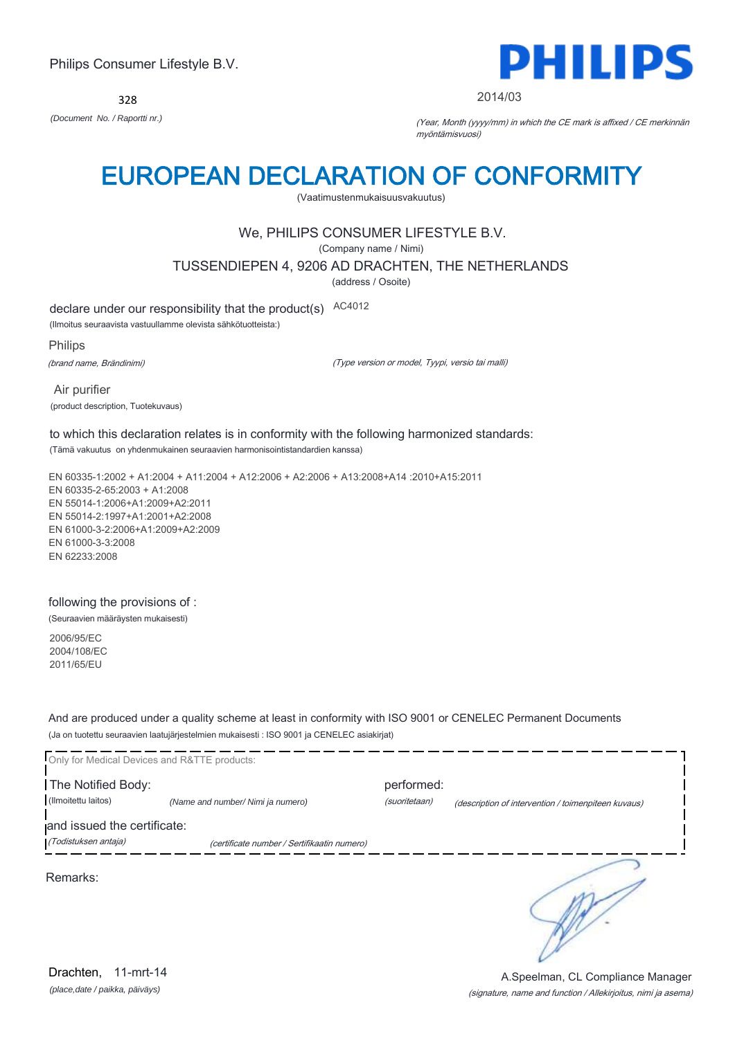328



2014/03

*(Document No. / Raportti nr.)* (Year, Month (yyyy/mm) in which the CE mark is affixed / CE merkinnän myöntämisvuosi)

## EUROPEAN DECLARATION OF CONFORMITY

(Vaatimustenmukaisuusvakuutus)

## We, PHILIPS CONSUMER LIFESTYLE B.V.

(Company name / Nimi)

TUSSENDIEPEN 4, 9206 AD DRACHTEN, THE NETHERLANDS

(address / Osoite)

declare under our responsibility that the product(s) AC4012

(Ilmoitus seuraavista vastuullamme olevista sähkötuotteista:)

Philips

(brand name, Brändinimi)

(Type version or model, Tyypi, versio tai malli)

 Air purifier (product description, Tuotekuvaus)

to which this declaration relates is in conformity with the following harmonized standards: (Tämä vakuutus on yhdenmukainen seuraavien harmonisointistandardien kanssa)

EN 60335-1:2002 + A1:2004 + A11:2004 + A12:2006 + A2:2006 + A13:2008+A14 :2010+A15:2011 EN 60335-2-65:2003 + A1:2008 EN 55014-1:2006+A1:2009+A2:2011 EN 55014-2:1997+A1:2001+A2:2008 EN 61000-3-2:2006+A1:2009+A2:2009 EN 61000-3-3:2008 EN 62233:2008

### following the provisions of :

(Seuraavien määräysten mukaisesti)

2006/95/EC 2004/108/EC 2011/65/EU

And are produced under a quality scheme at least in conformity with ISO 9001 or CENELEC Permanent Documents (Ja on tuotettu seuraavien laatujärjestelmien mukaisesti : ISO 9001 ja CENELEC asiakirjat)

| Only for Medical Devices and R&TTE products:        |                                             |                             |                                                     |
|-----------------------------------------------------|---------------------------------------------|-----------------------------|-----------------------------------------------------|
| The Notified Body:<br>(Ilmoitettu laitos)           | (Name and number/ Nimi ja numero)           | performed:<br>(suoritetaan) | (description of intervention / toimenpiteen kuvaus) |
| and issued the certificate:<br>(Todistuksen antaja) | (certificate number / Sertifikaatin numero) |                             |                                                     |
| Remarks:                                            |                                             |                             |                                                     |
|                                                     |                                             |                             |                                                     |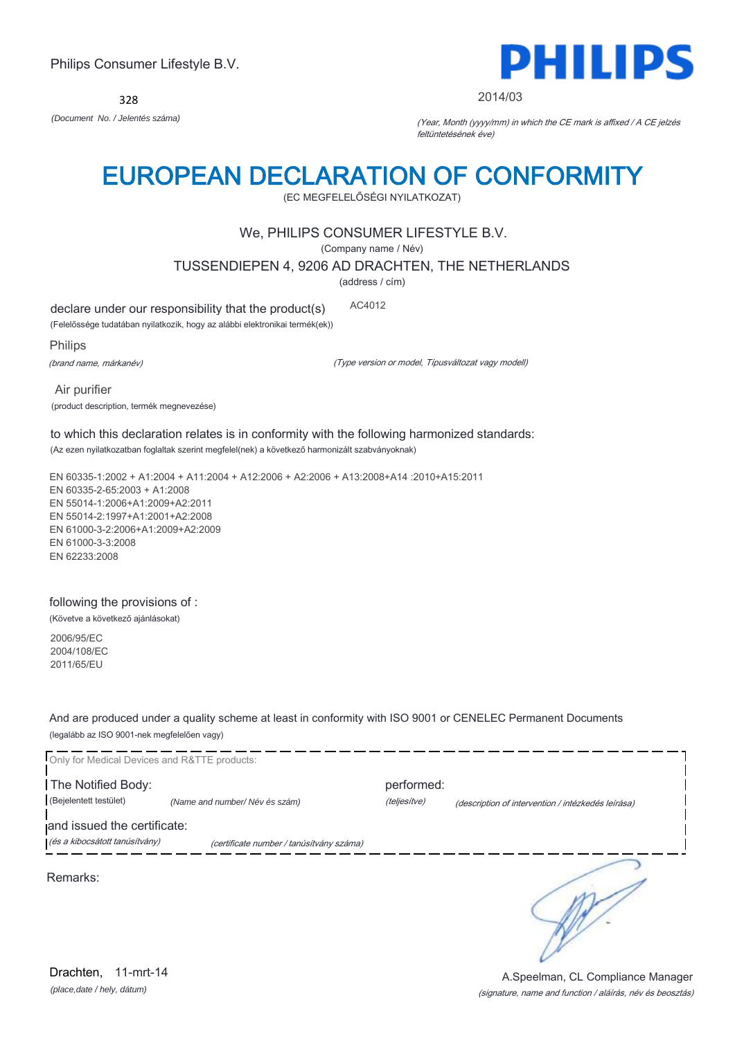328



#### 2014/03

*(Document No. / Jelentés száma)* (Year, Month (yyyy/mm) in which the CE mark is affixed / A CE jelzés feltüntetésének éve)

# EUROPEAN DECLARATION OF CONFORMITY

(EC MEGFELELŐSÉGI NYILATKOZAT)

## We, PHILIPS CONSUMER LIFESTYLE B.V.

(Company name / Név)

TUSSENDIEPEN 4, 9206 AD DRACHTEN, THE NETHERLANDS

(address / cím)

declare under our responsibility that the product(s) AC4012

(Felelőssége tudatában nyilatkozik, hogy az alábbi elektronikai termék(ek))

Philips

(brand name, márkanév)

(Type version or model, Típusváltozat vagy modell)

 Air purifier (product description, termék megnevezése)

to which this declaration relates is in conformity with the following harmonized standards: (Az ezen nyilatkozatban foglaltak szerint megfelel(nek) a következő harmonizált szabványoknak)

EN 60335-1:2002 + A1:2004 + A11:2004 + A12:2006 + A2:2006 + A13:2008+A14 :2010+A15:2011 EN 60335-2-65:2003 + A1:2008 EN 55014-1:2006+A1:2009+A2:2011 EN 55014-2:1997+A1:2001+A2:2008 EN 61000-3-2:2006+A1:2009+A2:2009 EN 61000-3-3:2008 EN 62233:2008

### following the provisions of :

(Követve a következő ajánlásokat)

2006/95/EC 2004/108/EC 2011/65/EU

And are produced under a quality scheme at least in conformity with ISO 9001 or CENELEC Permanent Documents (legalább az ISO 9001-nek megfelelően vagy)



*(place,date / hely, dátum)* Drachten, 11-mrt-14

(signature, name and function / aláírás, név és beosztás) A.Speelman, CL Compliance Manager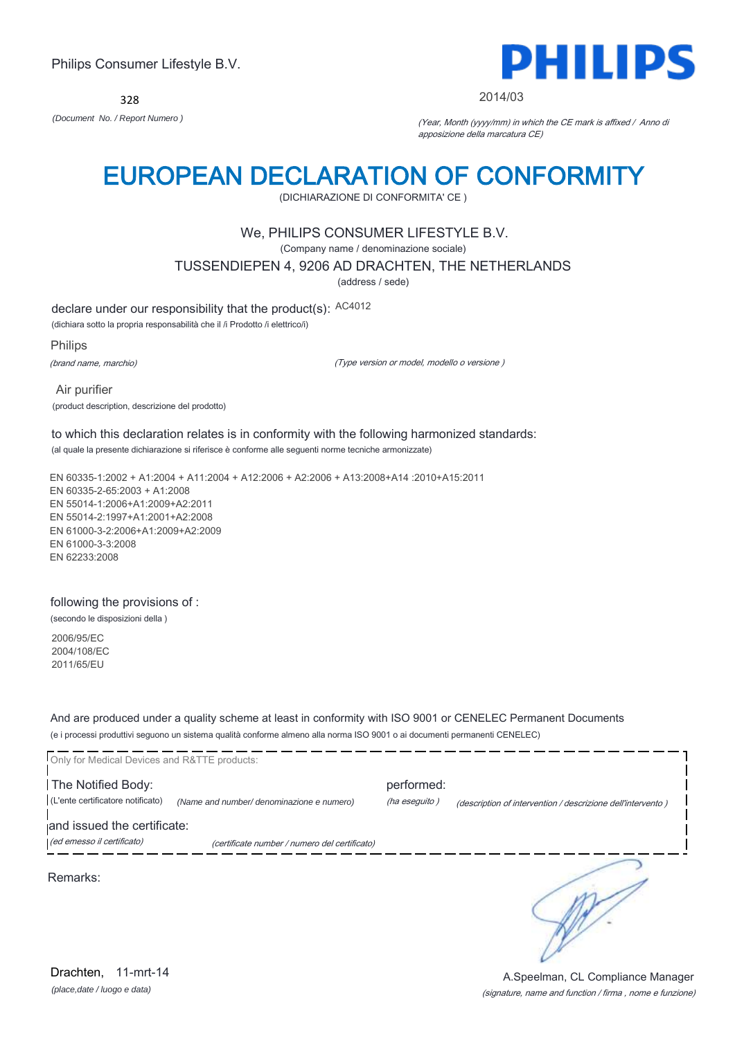328



#### 2014/03

*(Document No. / Report Numero )* (Year, Month (yyyy/mm) in which the CE mark is affixed / Anno di apposizione della marcatura CE)

## EUROPEAN DECLARATION OF CONFORMITY

(DICHIARAZIONE DI CONFORMITA' CE )

### We, PHILIPS CONSUMER LIFESTYLE B.V.

(Company name / denominazione sociale)

TUSSENDIEPEN 4, 9206 AD DRACHTEN, THE NETHERLANDS

(address / sede)

declare under our responsibility that the product(s): AC4012

(dichiara sotto la propria responsabilità che il /i Prodotto /i elettrico/i)

Philips

(brand name, marchio)

(Type version or model, modello o versione )

 Air purifier (product description, descrizione del prodotto)

## to which this declaration relates is in conformity with the following harmonized standards:

(al quale la presente dichiarazione si riferisce è conforme alle seguenti norme tecniche armonizzate)

EN 60335-1:2002 + A1:2004 + A11:2004 + A12:2006 + A2:2006 + A13:2008+A14 :2010+A15:2011 EN 60335-2-65:2003 + A1:2008 EN 55014-1:2006+A1:2009+A2:2011 EN 55014-2:1997+A1:2001+A2:2008 EN 61000-3-2:2006+A1:2009+A2:2009 EN 61000-3-3:2008 EN 62233:2008

#### following the provisions of :

(secondo le disposizioni della )

2006/95/EC 2004/108/EC 2011/65/EU

And are produced under a quality scheme at least in conformity with ISO 9001 or CENELEC Permanent Documents (e i processi produttivi seguono un sistema qualità conforme almeno alla norma ISO 9001 o ai documenti permanenti CENELEC)

| Only for Medical Devices and R&TTE products:            |                                               |                             |                                                             |
|---------------------------------------------------------|-----------------------------------------------|-----------------------------|-------------------------------------------------------------|
| The Notified Body:<br>(L'ente certificatore notificato) | (Name and number/ denominazione e numero)     | performed:<br>(ha eseguito) | (description of intervention / descrizione dell'intervento) |
| and issued the certificate:                             |                                               |                             |                                                             |
| (ed emesso il certificato)                              | (certificate number / numero del certificato) |                             |                                                             |
| Remarks:                                                |                                               |                             |                                                             |

*(place,date / luogo e data)* Drachten, 11-mrt-14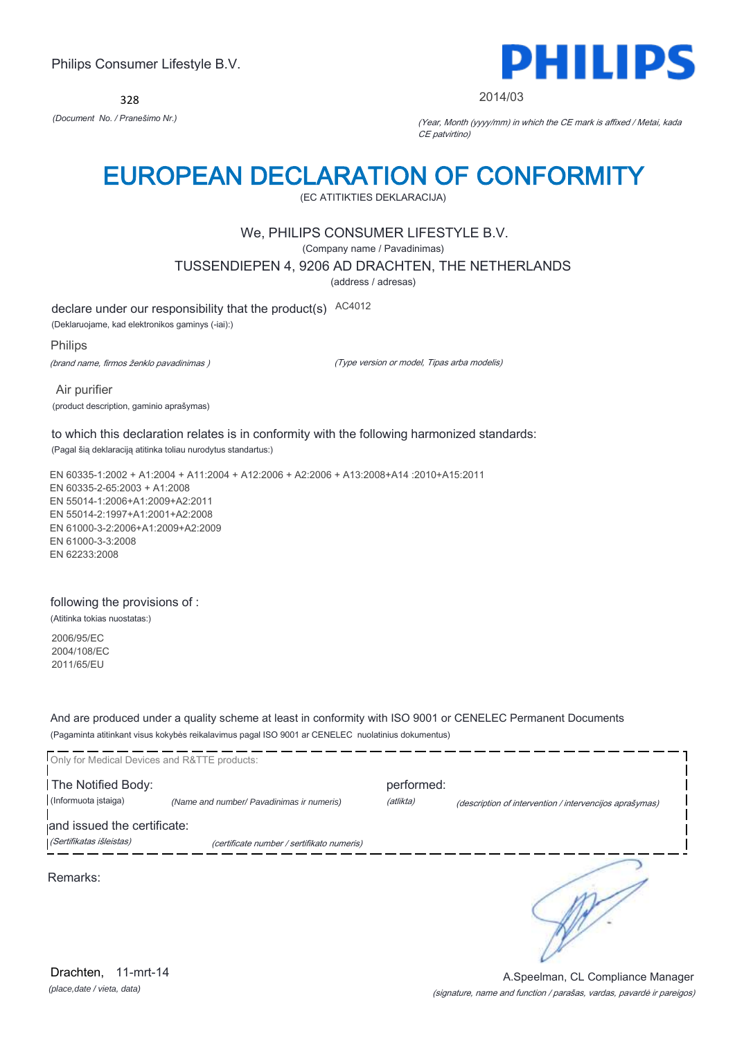328



2014/03

*(Document No. / Pranešimo Nr.)* (Year, Month (yyyy/mm) in which the CE mark is affixed / Metai, kada CE patvirtino)

## EUROPEAN DECLARATION OF CONFORMITY

(EC ATITIKTIES DEKLARACIJA)

## We, PHILIPS CONSUMER LIFESTYLE B.V.

(Company name / Pavadinimas)

TUSSENDIEPEN 4, 9206 AD DRACHTEN, THE NETHERLANDS

(address / adresas)

declare under our responsibility that the product(s) AC4012

(Deklaruojame, kad elektronikos gaminys (-iai):)

Philips

(brand name, firmos ženklo pavadinimas )

(Type version or model, Tipas arba modelis)

 Air purifier (product description, gaminio aprašymas)

to which this declaration relates is in conformity with the following harmonized standards:

(Pagal šią deklaraciją atitinka toliau nurodytus standartus:)

EN 60335-1:2002 + A1:2004 + A11:2004 + A12:2006 + A2:2006 + A13:2008+A14 :2010+A15:2011 EN 60335-2-65:2003 + A1:2008 EN 55014-1:2006+A1:2009+A2:2011 EN 55014-2:1997+A1:2001+A2:2008 EN 61000-3-2:2006+A1:2009+A2:2009 EN 61000-3-3:2008 EN 62233:2008

### following the provisions of :

(Atitinka tokias nuostatas:)

2006/95/EC 2004/108/EC 2011/65/EU

And are produced under a quality scheme at least in conformity with ISO 9001 or CENELEC Permanent Documents (Pagaminta atitinkant visus kokybės reikalavimus pagal ISO 9001 ar CENELEC nuolatinius dokumentus)

| Only for Medical Devices and R&TTE products: |                                            |            |                                                         |
|----------------------------------------------|--------------------------------------------|------------|---------------------------------------------------------|
| The Notified Body:                           |                                            | performed: |                                                         |
| (Informuota istaiga)                         | (Name and number/ Pavadinimas ir numeris)  | (atlikta)  | (description of intervention / intervencijos aprašymas) |
| and issued the certificate:                  |                                            |            |                                                         |
| (Sertifikatas išleistas)                     | (certificate number / sertifikato numeris) |            |                                                         |
| Remarks:                                     |                                            |            |                                                         |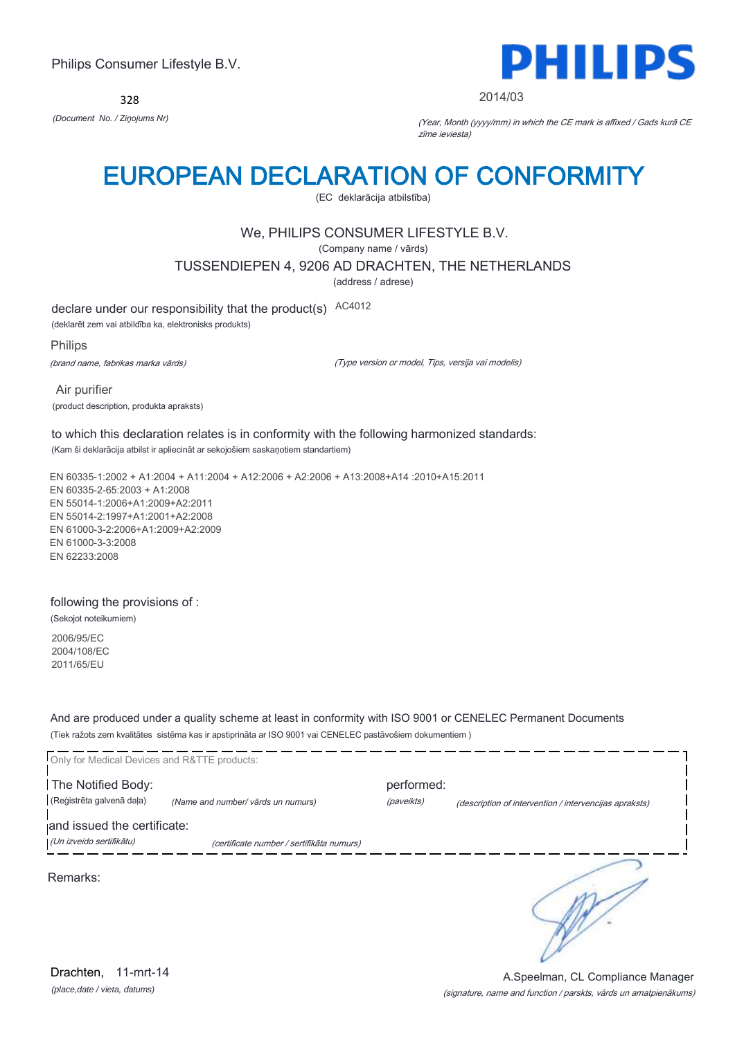328



#### 2014/03

*(Document No. / Ziņojums Nr)* (Year, Month (yyyy/mm) in which the CE mark is affixed / Gads kurā CE zīme ieviesta)

## EUROPEAN DECLARATION OF CONFORMITY

(EC deklarācija atbilstība)

## We, PHILIPS CONSUMER LIFESTYLE B.V.

(Company name / vārds)

TUSSENDIEPEN 4, 9206 AD DRACHTEN, THE NETHERLANDS

(address / adrese)

declare under our responsibility that the product(s) AC4012

(deklarēt zem vai atbildība ka, elektronisks produkts)

Philips

(brand name, fabrikas marka vārds)

(Type version or model, Tips, versija vai modelis)

 Air purifier (product description, produkta apraksts)

to which this declaration relates is in conformity with the following harmonized standards: (Kam ši deklarācija atbilst ir apliecināt ar sekojošiem saskaņotiem standartiem)

EN 60335-1:2002 + A1:2004 + A11:2004 + A12:2006 + A2:2006 + A13:2008+A14 :2010+A15:2011 EN 60335-2-65:2003 + A1:2008 EN 55014-1:2006+A1:2009+A2:2011 EN 55014-2:1997+A1:2001+A2:2008 EN 61000-3-2:2006+A1:2009+A2:2009 EN 61000-3-3:2008 EN 62233:2008

### following the provisions of :

(Sekojot noteikumiem)

2006/95/EC 2004/108/EC 2011/65/EU

And are produced under a quality scheme at least in conformity with ISO 9001 or CENELEC Permanent Documents (Tiek ražots zem kvalitātes sistēma kas ir apstiprināta ar ISO 9001 vai CENELEC pastāvošiem dokumentiem )

| Only for Medical Devices and R&TTE products:            |                                           |                          |                                                        |
|---------------------------------------------------------|-------------------------------------------|--------------------------|--------------------------------------------------------|
| The Notified Body:<br>(Reģistrēta galvenā daļa)         | (Name and number/ vārds un numurs)        | performed:<br>(paveikts) | (description of intervention / intervencijas apraksts) |
| and issued the certificate:<br>(Un izveido sertifikātu) | (certificate number / sertifikāta numurs) |                          |                                                        |
| Remarks:                                                |                                           |                          |                                                        |
|                                                         |                                           |                          |                                                        |

*(place,date / vieta, datums)* Drachten, 11-mrt-14

#### (signature, name and function / parskts, vārds un amatpienākums) A.Speelman, CL Compliance Manager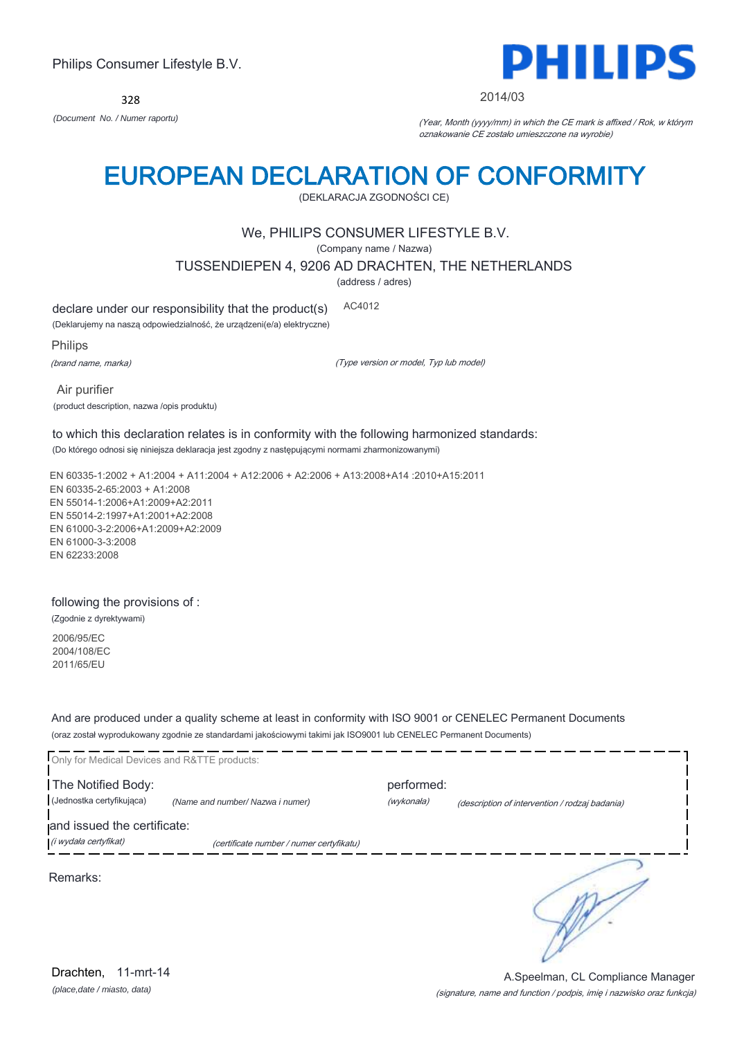328



#### 2014/03

*(Document No. / Numer raportu)* (Year, Month (yyyy/mm) in which the CE mark is affixed / Rok, w którym oznakowanie CE zostało umieszczone na wyrobie)

# EUROPEAN DECLARATION OF CONFORMITY

(DEKLARACJA ZGODNOŚCI CE)

## We, PHILIPS CONSUMER LIFESTYLE B.V.

(Company name / Nazwa)

TUSSENDIEPEN 4, 9206 AD DRACHTEN, THE NETHERLANDS

(address / adres)

declare under our responsibility that the product(s) AC4012

(Deklarujemy na naszą odpowiedzialność, że urządzeni(e/a) elektryczne)

Philips

(brand name, marka)

(Type version or model, Typ lub model)

 Air purifier (product description, nazwa /opis produktu)

### to which this declaration relates is in conformity with the following harmonized standards: (Do którego odnosi się niniejsza deklaracja jest zgodny z następującymi normami zharmonizowanymi)

EN 60335-1:2002 + A1:2004 + A11:2004 + A12:2006 + A2:2006 + A13:2008+A14 :2010+A15:2011 EN 60335-2-65:2003 + A1:2008 EN 55014-1:2006+A1:2009+A2:2011 EN 55014-2:1997+A1:2001+A2:2008 EN 61000-3-2:2006+A1:2009+A2:2009 EN 61000-3-3:2008 EN 62233:2008

### following the provisions of :

(Zgodnie z dyrektywami)

2006/95/EC 2004/108/EC 2011/65/EU

And are produced under a quality scheme at least in conformity with ISO 9001 or CENELEC Permanent Documents (oraz został wyprodukowany zgodnie ze standardami jakościowymi takimi jak ISO9001 lub CENELEC Permanent Documents)

| Only for Medical Devices and R&TTE products:         |                                          |                          |                                                |
|------------------------------------------------------|------------------------------------------|--------------------------|------------------------------------------------|
| The Notified Body:<br>(Jednostka certyfikująca)      | (Name and number/ Nazwa i numer)         | performed:<br>(wykonała) | (description of intervention / rodzaj badania) |
| and issued the certificate:<br>(i wydała certyfikat) | (certificate number / numer certyfikatu) |                          |                                                |
| Remarks:                                             |                                          |                          |                                                |

### (signature, name and function / podpis, imię i nazwisko oraz funkcja) A.Speelman, CL Compliance Manager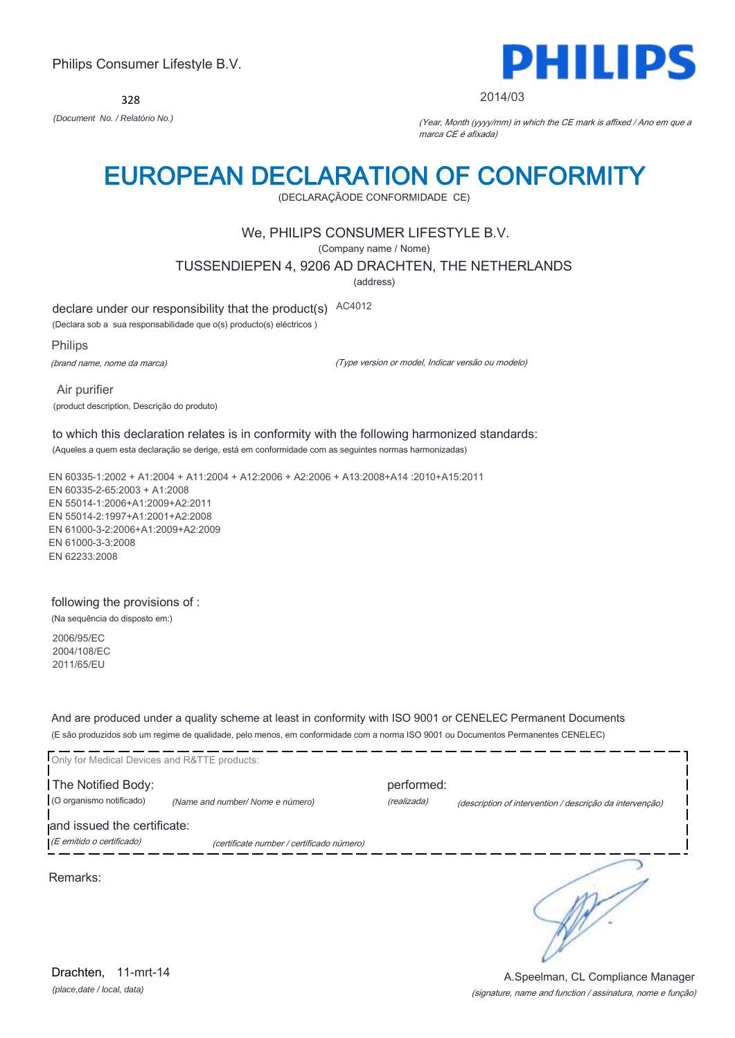328



#### 2014/03

*(Document No. / Relatório No.)* (Year, Month (yyyy/mm) in which the CE mark is affixed / Ano em que a marca CE é afixada)

## EUROPEAN DECLARATION OF CONFORMITY

(DECLARAÇÃODE CONFORMIDADE CE)

## We, PHILIPS CONSUMER LIFESTYLE B.V.

(Company name / Nome)

TUSSENDIEPEN 4, 9206 AD DRACHTEN, THE NETHERLANDS

(address)

declare under our responsibility that the product(s) AC4012

(Declara sob a sua responsabilidade que o(s) producto(s) eléctricos )

Philips

(brand name, nome da marca)

(Type version or model, Indicar versão ou modelo)

 Air purifier (product description, Descrição do produto)

#### to which this declaration relates is in conformity with the following harmonized standards: (Aqueles a quem esta declaração se derige, está em conformidade com as seguintes normas harmonizadas)

EN 60335-1:2002 + A1:2004 + A11:2004 + A12:2006 + A2:2006 + A13:2008+A14 :2010+A15:2011 EN 60335-2-65:2003 + A1:2008 EN 55014-1:2006+A1:2009+A2:2011 EN 55014-2:1997+A1:2001+A2:2008 EN 61000-3-2:2006+A1:2009+A2:2009 EN 61000-3-3:2008 EN 62233:2008

### following the provisions of :

(Na sequência do disposto em:)

2006/95/EC 2004/108/EC 2011/65/EU

And are produced under a quality scheme at least in conformity with ISO 9001 or CENELEC Permanent Documents (E são produzidos sob um regime de qualidade, pelo menos, em conformidade com a norma ISO 9001 ou Documentos Permanentes CENELEC)

| Only for Medical Devices and R&TTE products: |                                           |             |                                                          |
|----------------------------------------------|-------------------------------------------|-------------|----------------------------------------------------------|
| The Notified Body:                           |                                           | performed:  |                                                          |
| (O organismo notificado)                     | (Name and number/Nome e número)           | (realizada) | (description of intervention / descrição da intervenção) |
| and issued the certificate:                  |                                           |             |                                                          |
| (E emitido o certificado)                    | (certificate number / certificado número) |             |                                                          |
| Remarks:                                     |                                           |             |                                                          |

(signature, name and function / assinatura, nome e função) A.Speelman, CL Compliance Manager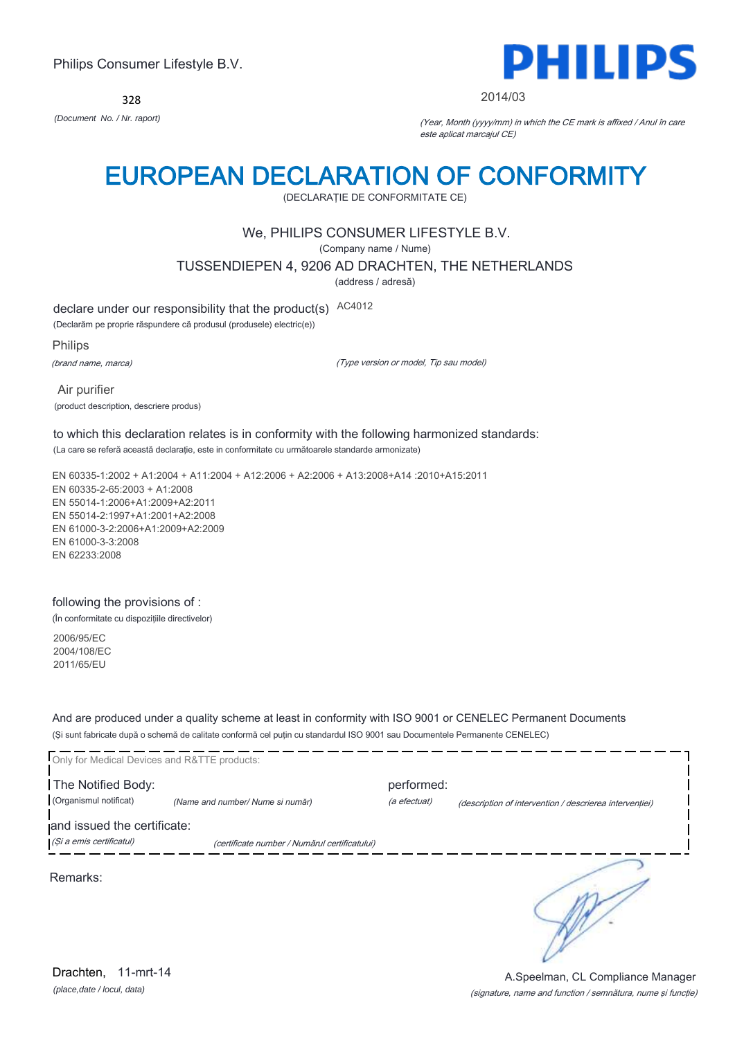328



#### 2014/03

*(Document No. / Nr. raport)* (Year, Month (yyyy/mm) in which the CE mark is affixed / Anul în care este aplicat marcajul CE)

## EUROPEAN DECLARATION OF CONFORMITY

(DECLARAŢIE DE CONFORMITATE CE)

## We, PHILIPS CONSUMER LIFESTYLE B.V.

(Company name / Nume)

TUSSENDIEPEN 4, 9206 AD DRACHTEN, THE NETHERLANDS

(address / adresă)

declare under our responsibility that the product(s) AC4012

(Declarăm pe proprie răspundere că produsul (produsele) electric(e))

Philips

(brand name, marca)

(Type version or model, Tip sau model)

 Air purifier (product description, descriere produs)

to which this declaration relates is in conformity with the following harmonized standards: (La care se referă această declaraţie, este in conformitate cu următoarele standarde armonizate)

EN 60335-1:2002 + A1:2004 + A11:2004 + A12:2006 + A2:2006 + A13:2008+A14 :2010+A15:2011 EN 60335-2-65:2003 + A1:2008 EN 55014-1:2006+A1:2009+A2:2011 EN 55014-2:1997+A1:2001+A2:2008 EN 61000-3-2:2006+A1:2009+A2:2009 EN 61000-3-3:2008 EN 62233:2008

### following the provisions of :

(În conformitate cu dispoziţiile directivelor)

2006/95/EC 2004/108/EC 2011/65/EU

And are produced under a quality scheme at least in conformity with ISO 9001 or CENELEC Permanent Documents (Şi sunt fabricate după o schemă de calitate conformă cel puţin cu standardul ISO 9001 sau Documentele Permanente CENELEC)

| Only for Medical Devices and R&TTE products:            |                                               |              |                                                         |
|---------------------------------------------------------|-----------------------------------------------|--------------|---------------------------------------------------------|
| The Notified Body:                                      |                                               | performed:   |                                                         |
| (Organismul notificat)                                  | (Name and number/ Nume si număr)              | (a efectuat) | (description of intervention / descrierea interventiei) |
| and issued the certificate:<br>(Și a emis certificatul) | (certificate number / Numărul certificatului) |              |                                                         |
| Remarks:                                                |                                               |              |                                                         |

*(place,date / locul, data)* Drachten, 11-mrt-14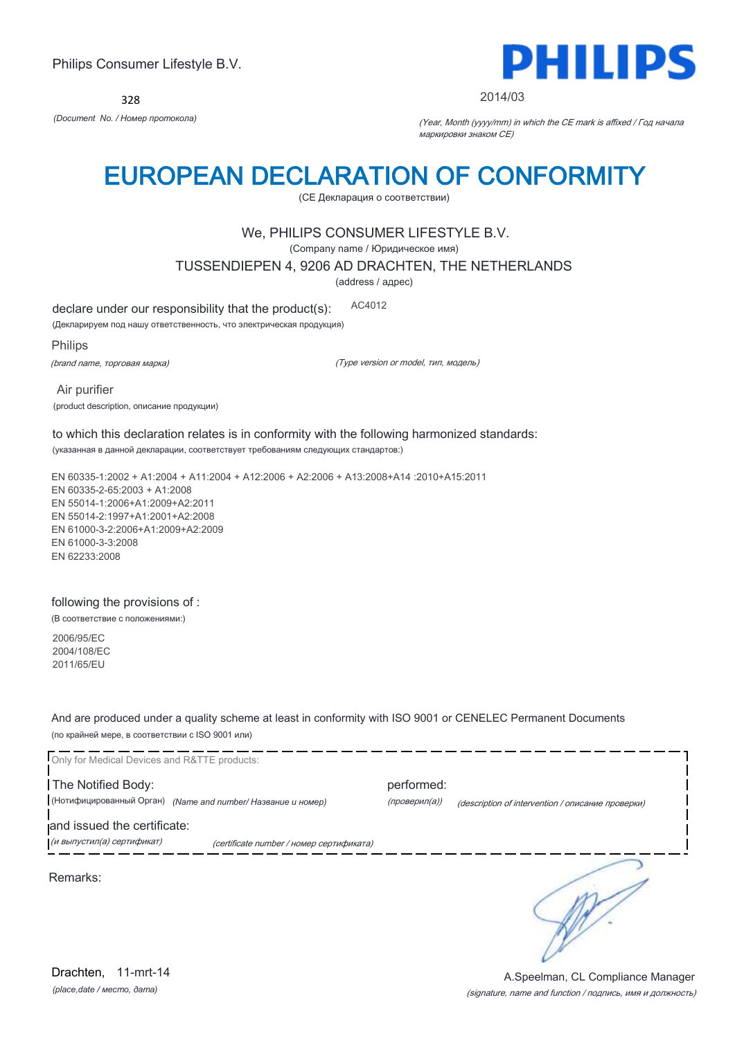328



#### 2014/03

*(Document No. / Номер протокола)* (Year, Month (yyyy/mm) in which the CE mark is affixed / Год начала маркировки знаком CE)

## EUROPEAN DECLARATION OF CONFORMITY

(CE Декларация о соответствии)

### We, PHILIPS CONSUMER LIFESTYLE B.V.

(Company name / Юридическое имя)

TUSSENDIEPEN 4, 9206 AD DRACHTEN, THE NETHERLANDS

(address / адрес)

declare under our responsibility that the product(s): AC4012

(Декларируем под нашу ответственность, что электрическая продукция)

Philips

(brand name, торговая марка)

(Type version or model, тип, модель)

 Air purifier (product description, описание продукции)

to which this declaration relates is in conformity with the following harmonized standards: (указанная в данной декларации, соответствует требованиям следующих стандартов:)

EN 60335-1:2002 + A1:2004 + A11:2004 + A12:2006 + A2:2006 + A13:2008+A14 :2010+A15:2011 EN 60335-2-65:2003 + A1:2008 EN 55014-1:2006+A1:2009+A2:2011 EN 55014-2:1997+A1:2001+A2:2008 EN 61000-3-2:2006+A1:2009+A2:2009 EN 61000-3-3:2008 EN 62233:2008

#### following the provisions of :

(В соответствие с положениями:)

2006/95/EC 2004/108/EC 2011/65/EU

And are produced under a quality scheme at least in conformity with ISO 9001 or CENELEC Permanent Documents (по крайней мере, в соответствии с ISO 9001 или)

Only for Medical Devices and R&TTE products: The Notified Body: performed: (Нотифицированный Орган) *(Name and number/ Название и номер)* (проверил(а)) (description of intervention / описание проверки) and issued the certificate: (и выпустил(а) сертификат) (certificate number / номер сертификата) ∍ Remarks:

*(place,date / место, дата)* Drachten, 11-mrt-14

(signature, name and function / подпись, имя и должность) A.Speelman, CL Compliance Manager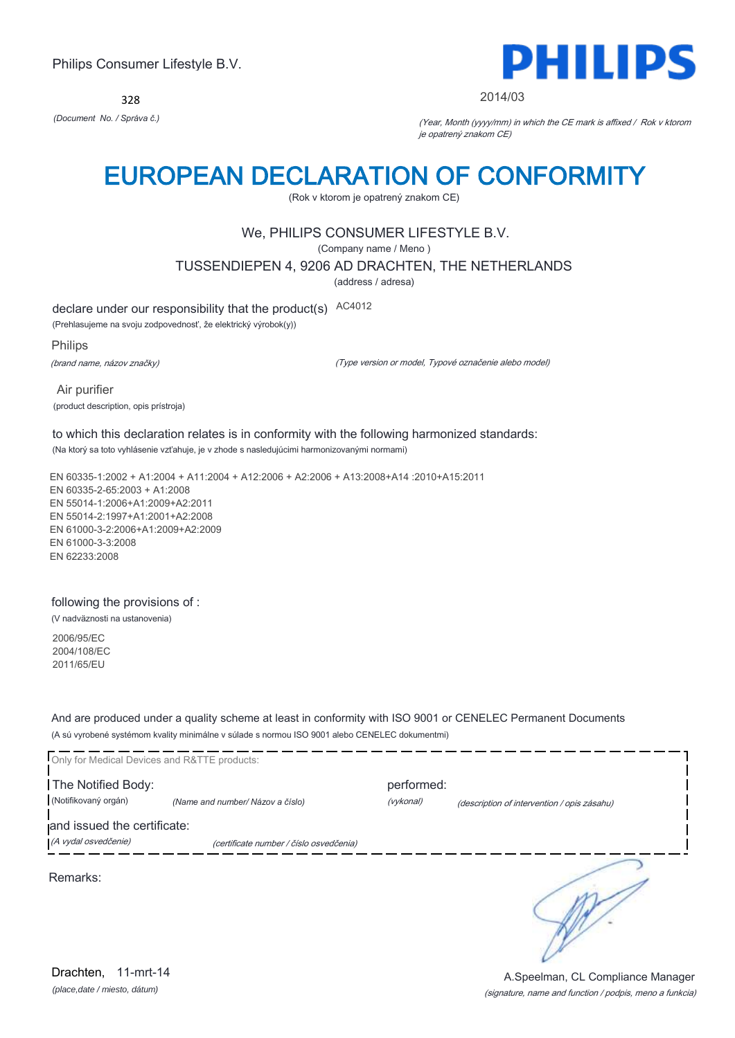328



#### 2014/03

*(Document No. / Správa č.)* (Year, Month (yyyy/mm) in which the CE mark is affixed / Rok v ktorom je opatrený znakom CE)

## EUROPEAN DECLARATION OF CONFORMITY

(Rok v ktorom je opatrený znakom CE)

## We, PHILIPS CONSUMER LIFESTYLE B.V.

(Company name / Meno )

### TUSSENDIEPEN 4, 9206 AD DRACHTEN, THE NETHERLANDS

(address / adresa)

declare under our responsibility that the product(s) AC4012

(Prehlasujeme na svoju zodpovednosť, že elektrický výrobok(y))

Philips

(brand name, názov značky)

(Type version or model, Typové označenie alebo model)

 Air purifier (product description, opis prístroja)

### to which this declaration relates is in conformity with the following harmonized standards: (Na ktorý sa toto vyhlásenie vzťahuje, je v zhode s nasledujúcimi harmonizovanými normami)

EN 60335-1:2002 + A1:2004 + A11:2004 + A12:2006 + A2:2006 + A13:2008+A14 :2010+A15:2011 EN 60335-2-65:2003 + A1:2008 EN 55014-1:2006+A1:2009+A2:2011 EN 55014-2:1997+A1:2001+A2:2008 EN 61000-3-2:2006+A1:2009+A2:2009 EN 61000-3-3:2008 EN 62233:2008

#### following the provisions of :

(V nadväznosti na ustanovenia)

2006/95/EC 2004/108/EC 2011/65/EU

And are produced under a quality scheme at least in conformity with ISO 9001 or CENELEC Permanent Documents (A sú vyrobené systémom kvality minimálne v súlade s normou ISO 9001 alebo CENELEC dokumentmi)

| Only for Medical Devices and R&TTE products:        |                                         |                         |                                             |
|-----------------------------------------------------|-----------------------------------------|-------------------------|---------------------------------------------|
| The Notified Body:<br>(Notifikovaný orgán)          | (Name and number/ Názov a číslo)        | performed:<br>(vykonal) | (description of intervention / opis zásahu) |
| and issued the certificate:<br>(A vydal osvedčenie) | (certificate number / číslo osvedčenia) |                         |                                             |
| Remarks:                                            |                                         |                         |                                             |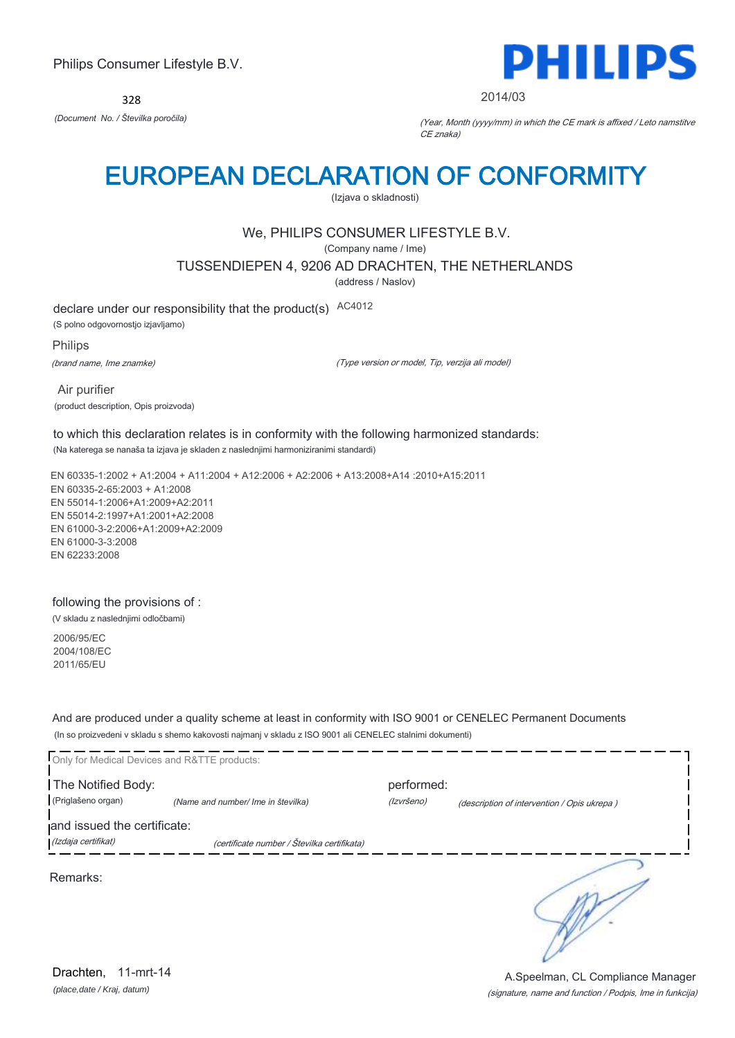328



2014/03

*(Document No. / Številka poročila)* (Year, Month (yyyy/mm) in which the CE mark is affixed / Leto namstitve CE znaka)

# EUROPEAN DECLARATION OF CONFORMITY

(Izjava o skladnosti)

## We, PHILIPS CONSUMER LIFESTYLE B.V.

(Company name / Ime)

TUSSENDIEPEN 4, 9206 AD DRACHTEN, THE NETHERLANDS

(address / Naslov)

declare under our responsibility that the product(s) AC4012

(S polno odgovornostjo izjavljamo)

Philips

(brand name, Ime znamke)

(Type version or model, Tip, verzija ali model)

 Air purifier (product description, Opis proizvoda)

to which this declaration relates is in conformity with the following harmonized standards: (Na katerega se nanaša ta izjava je skladen z naslednjimi harmoniziranimi standardi)

EN 60335-1:2002 + A1:2004 + A11:2004 + A12:2006 + A2:2006 + A13:2008+A14 :2010+A15:2011 EN 60335-2-65:2003 + A1:2008 EN 55014-1:2006+A1:2009+A2:2011 EN 55014-2:1997+A1:2001+A2:2008 EN 61000-3-2:2006+A1:2009+A2:2009 EN 61000-3-3:2008 EN 62233:2008

### following the provisions of :

(V skladu z naslednjimi odločbami)

2006/95/EC 2004/108/EC 2011/65/EU

And are produced under a quality scheme at least in conformity with ISO 9001 or CENELEC Permanent Documents (In so proizvedeni v skladu s shemo kakovosti najmanj v skladu z ISO 9001 ali CENELEC stalnimi dokumenti)

| Only for Medical Devices and R&TTE products: |                                             |                          |                                             |
|----------------------------------------------|---------------------------------------------|--------------------------|---------------------------------------------|
| The Notified Body:<br>(Priglašeno organ)     |                                             | performed:<br>(Izvršeno) |                                             |
| and issued the certificate:                  | (Name and number/ Ime in številka)          |                          | (description of intervention / Opis ukrepa) |
| (Izdaja certifikat)                          | (certificate number / Številka certifikata) |                          |                                             |
| Remarks:                                     |                                             |                          |                                             |

(signature, name and function / Podpis, Ime in funkcija) A.Speelman, CL Compliance Manager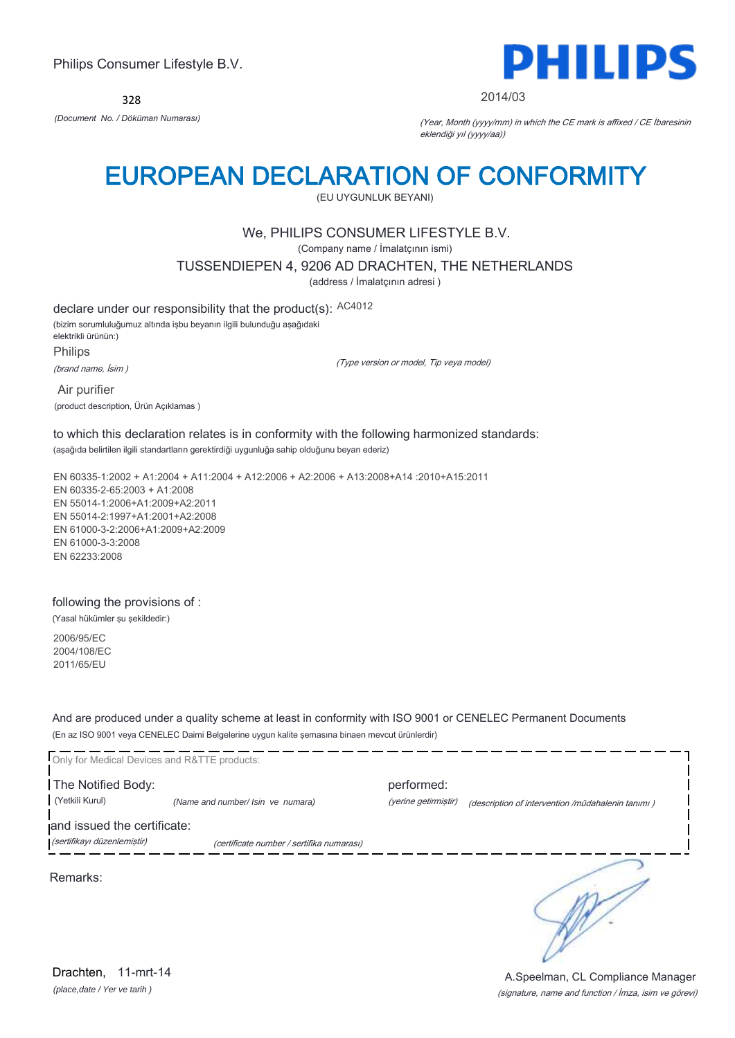328



2014/03

*(Document No. / Döküman Numarası)* (Year, Month (yyyy/mm) in which the CE mark is affixed / CE İbaresinin eklendiği yıl (yyyy/aa))

## EUROPEAN DECLARATION OF CONFORMITY

(EU UYGUNLUK BEYANI)

## We, PHILIPS CONSUMER LIFESTYLE B.V.

(Company name / İmalatçının ismi)

TUSSENDIEPEN 4, 9206 AD DRACHTEN, THE NETHERLANDS

(address / İmalatçının adresi )

declare under our responsibility that the product(s): AC4012

(bizim sorumluluğumuz altında işbu beyanın ilgili bulunduğu aşağıdaki elektrikli ürünün:)

Philips

(brand name, İsim )

(Type version or model, Tip veya model)

 Air purifier (product description, Ürün Açıklamas )

to which this declaration relates is in conformity with the following harmonized standards: (aşağıda belirtilen ilgili standartların gerektirdiği uygunluğa sahip olduğunu beyan ederiz)

EN 60335-1:2002 + A1:2004 + A11:2004 + A12:2006 + A2:2006 + A13:2008+A14 :2010+A15:2011 EN 60335-2-65:2003 + A1:2008 EN 55014-1:2006+A1:2009+A2:2011 EN 55014-2:1997+A1:2001+A2:2008 EN 61000-3-2:2006+A1:2009+A2:2009 EN 61000-3-3:2008 EN 62233:2008

### following the provisions of :

(Yasal hükümler şu şekildedir:)

2006/95/EC 2004/108/EC 2011/65/EU

And are produced under a quality scheme at least in conformity with ISO 9001 or CENELEC Permanent Documents (En az ISO 9001 veya CENELEC Daimi Belgelerine uygun kalite şemasına binaen mevcut ürünlerdir)

Only for Medical Devices and R&TTE products: The Notified Body: performed: (Yetkili Kurul) *(Name and number/ Isin ve numara)* (yerine getirmiştir) (description of intervention /müdahalenin tanımı ) and issued the certificate: (sertifikayı düzenlemiştir) (certificate number / sertifika numarası) ∋ Remarks:

*(place,date / Yer ve tarih )* Drachten, 11-mrt-14

(signature, name and function / İmza, isim ve görevi) A.Speelman, CL Compliance Manager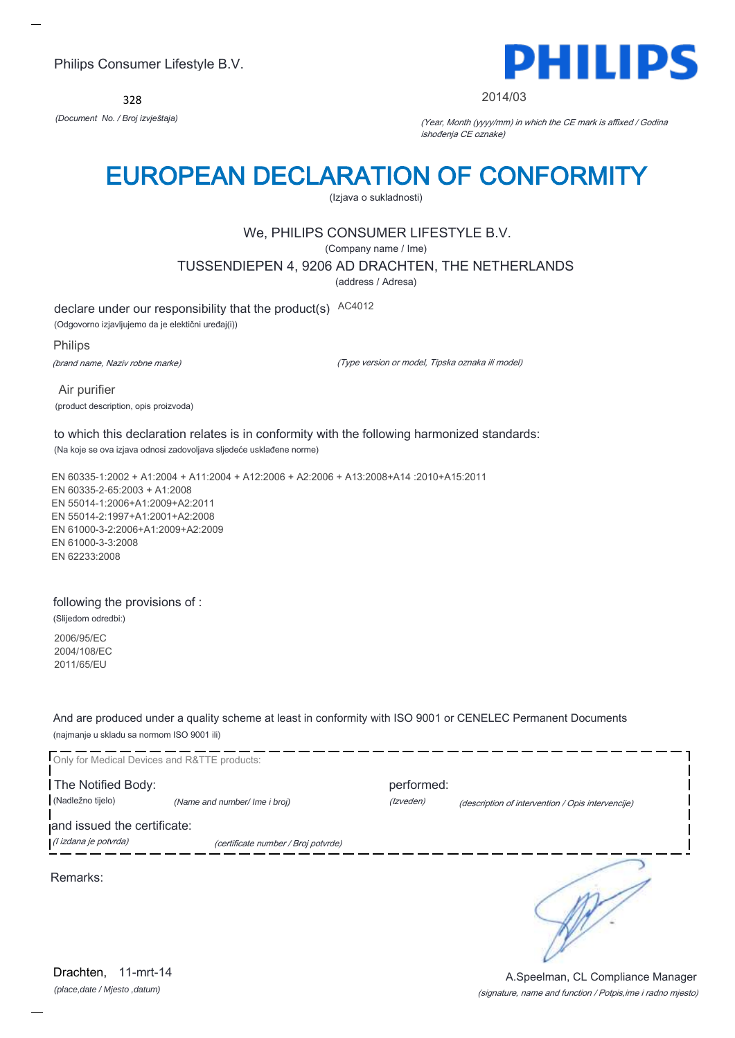328



#### 2014/03

*(Document No. / Broj izvještaja)* (Year, Month (yyyy/mm) in which the CE mark is affixed / Godina ishođenja CE oznake)

# EUROPEAN DECLARATION OF CONFORMITY

(Izjava o sukladnosti)

## We, PHILIPS CONSUMER LIFESTYLE B.V.

(Company name / Ime)

TUSSENDIEPEN 4, 9206 AD DRACHTEN, THE NETHERLANDS

(address / Adresa)

declare under our responsibility that the product(s) AC4012

(Odgovorno izjavljujemo da je elektični uređaj(i))

Philips

(brand name, Naziv robne marke)

(Type version or model, Tipska oznaka ili model)

 Air purifier (product description, opis proizvoda)

to which this declaration relates is in conformity with the following harmonized standards: (Na koje se ova izjava odnosi zadovoljava sljedeće usklađene norme)

EN 60335-1:2002 + A1:2004 + A11:2004 + A12:2006 + A2:2006 + A13:2008+A14 :2010+A15:2011 EN 60335-2-65:2003 + A1:2008 EN 55014-1:2006+A1:2009+A2:2011 EN 55014-2:1997+A1:2001+A2:2008 EN 61000-3-2:2006+A1:2009+A2:2009 EN 61000-3-3:2008 EN 62233:2008

### following the provisions of :

(Slijedom odredbi:)

2006/95/EC 2004/108/EC 2011/65/EU

And are produced under a quality scheme at least in conformity with ISO 9001 or CENELEC Permanent Documents (najmanje u skladu sa normom ISO 9001 ili)



*(place,date / Mjesto ,datum)* Drachten, 11-mrt-14

(signature, name and function / Potpis,ime i radno mjesto) A.Speelman, CL Compliance Manager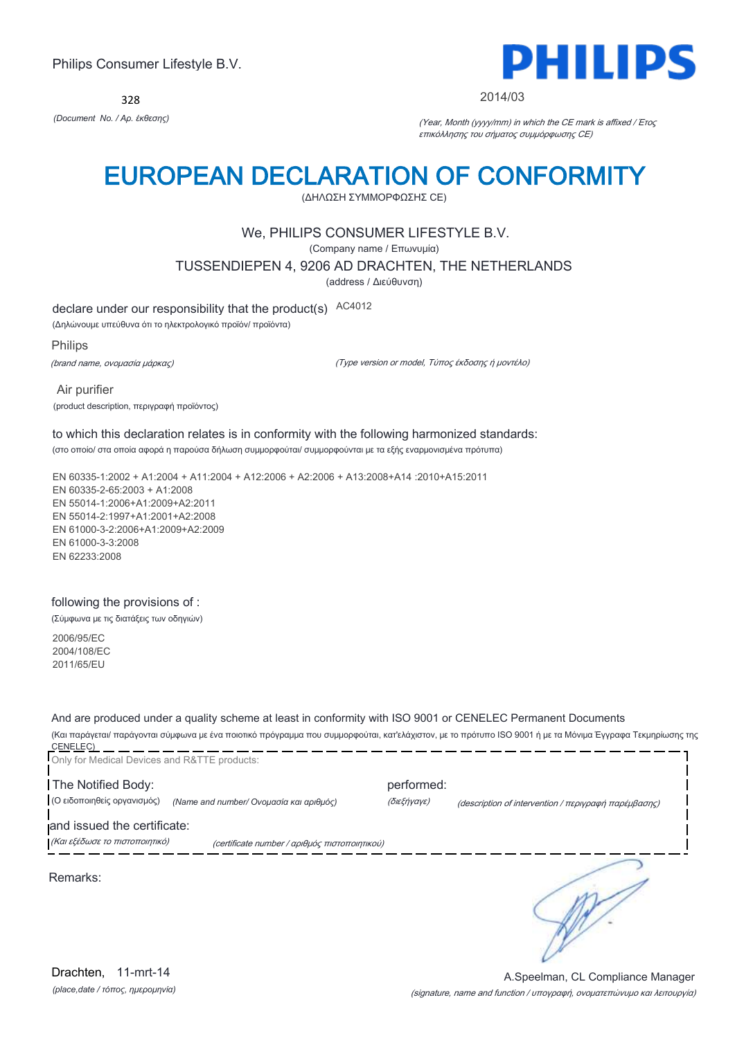328



#### 2014/03

*(Document No. / Αρ. έκθεσης)* (Year, Month (yyyy/mm) in which the CE mark is affixed / Έτος επικόλλησης του σήματος συμμόρφωσης CE)

## EUROPEAN DECLARATION OF CONFORMITY

(ΔΗΛΩΣΗ ΣΥΜΜΟΡΦΩΣΗΣ CE)

## We, PHILIPS CONSUMER LIFESTYLE B.V.

(Company name / Επωνυμία)

TUSSENDIEPEN 4, 9206 AD DRACHTEN, THE NETHERLANDS

(address / Διεύθυνση)

declare under our responsibility that the product(s) AC4012

(Δηλώνουμε υπεύθυνα ότι το ηλεκτρολογικό προϊόν/ προϊόντα)

Philips

(brand name, ονομασία μάρκας)

(Type version or model, Τύπος έκδοσης ή μοντέλο)

 Air purifier (product description, περιγραφή προϊόντος)

## to which this declaration relates is in conformity with the following harmonized standards:

(στο οποίο/ στα οποία αφορά η παρούσα δήλωση συμμορφούται/ συμμορφούνται με τα εξής εναρμονισμένα πρότυπα)

EN 60335-1:2002 + A1:2004 + A11:2004 + A12:2006 + A2:2006 + A13:2008+A14 :2010+A15:2011 EN 60335-2-65:2003 + A1:2008 EN 55014-1:2006+A1:2009+A2:2011 EN 55014-2:1997+A1:2001+A2:2008 EN 61000-3-2:2006+A1:2009+A2:2009 EN 61000-3-3:2008 EN 62233:2008

#### following the provisions of :

(Σύμφωνα με τις διατάξεις των οδηγιών)

2006/95/EC 2004/108/EC 2011/65/EU

And are produced under a quality scheme at least in conformity with ISO 9001 or CENELEC Permanent Documents

(Και παράγεται/ παράγονται σύμφωνα με ένα ποιοτικό πρόγραμμα που συμμορφούται, κατ'ελάχιστον, με το πρότυπο ISO 9001 ή με τα Μόνιμα Έγγραφα Τεκμηρίωσης της CENELEC) \_\_

| Only for Medical Devices and R&TTE products: |                                               |             |                                                      |
|----------------------------------------------|-----------------------------------------------|-------------|------------------------------------------------------|
| The Notified Body:                           |                                               | performed:  |                                                      |
| (Ο ειδοποιηθείς οργανισμός)                  | (Name and number/ Ονομασία και αριθμός)       | (διεξήγαγε) | (description of intervention / περιγραφή παρέμβασης) |
| and issued the certificate:                  |                                               |             |                                                      |
| (Και εξέδωσε το πιστοποιητικό)               | (certificate number / αριθμός πιστοποιητικού) |             |                                                      |
| Remarks:                                     |                                               |             |                                                      |
|                                              |                                               |             |                                                      |